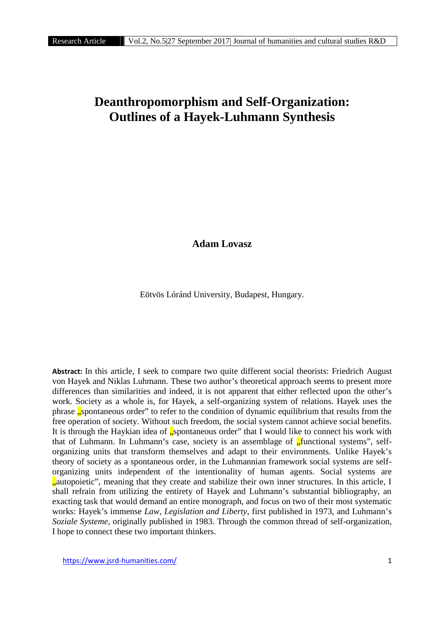## **Deanthropomorphism and Self-Organization: Outlines of a Hayek-Luhmann Synthesis**

**Adam Lovasz**

Eötvös Lóránd University, Budapest, Hungary.

**Abstract:** In this article, I seek to compare two quite different social theorists: Friedrich August von Hayek and Niklas Luhmann. These two author's theoretical approach seems to present more differences than similarities and indeed, it is not apparent that either reflected upon the other's work. Society as a whole is, for Hayek, a self-organizing system of relations. Hayek uses the phrase "spontaneous order" to refer to the condition of dynamic equilibrium that results from the free operation of society. Without such freedom, the social system cannot achieve social benefits. It is through the Haykian idea of  $\sqrt{s}$ , spontaneous order" that I would like to connect his work with that of Luhmann. In Luhmann's case, society is an assemblage of  $\frac{1}{2}$  functional systems", selforganizing units that transform themselves and adapt to their environments. Unlike Hayek's theory of society as a spontaneous order, in the Luhmannian framework social systems are self organizing units independent of the intentionality of human agents. Social systems are <sub>n</sub>autopoietic", meaning that they create and stabilize their own inner structures. In this article, I shall refrain from utilizing the entirety of Hayek and Luhmann's substantial bibliography, an exacting task that would demand an entire monograph, and focus on two of their most systematic works: Hayek's immense *Law, Legislation and Liberty*, first published in 1973, and Luhmann's *Soziale Systeme*, originally published in 1983. Through the common thread of self-organization, I hope to connect these two important thinkers.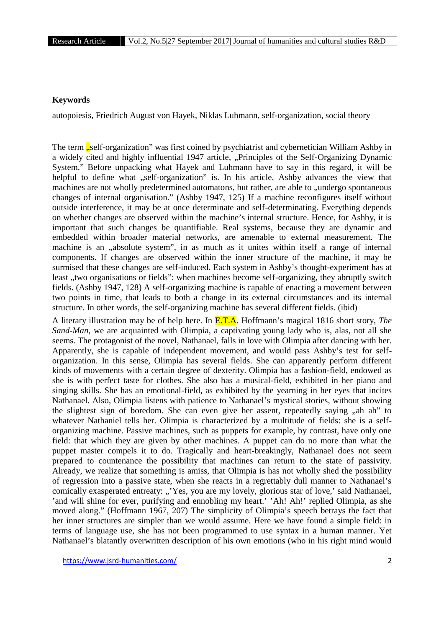## **Keywords**

autopoiesis, Friedrich August von Hayek, Niklas Luhmann, self-organization, social theory

The term **"self-organization**" was first coined by psychiatrist and cybernetician William Ashby in a widely cited and highly influential 1947 article, "Principles of the Self-Organizing Dynamic System." Before unpacking what Hayek and Luhmann have to say in this regard, it will be helpful to define what "self-organization" is. In his article, Ashby advances the view that machines are not wholly predetermined automatons, but rather, are able to "undergo spontaneous changes of internal organisation." (Ashby 1947, 125) If a machine reconfigures itself without outside interference, it may be at once determinate and self-determinating. Everything depends on whether changes are observed within the machine's internal structure. Hence, for Ashby, it is important that such changes be quantifiable. Real systems, because they are dynamic and embedded within broader material networks, are amenable to external measurement. The machine is an "absolute system", in as much as it unites within itself a range of internal components. If changes are observed within the inner structure of the machine, it may be surmised that these changes are self-induced. Each system in Ashby's thought-experiment has at least "two organisations or fields": when machines become self-organizing, they abruptly switch fields. (Ashby 1947, 128) A self-organizing machine is capable of enacting a movement between two points in time, that leads to both a change in its external circumstances and its internal structure. In other words, the self-organizing machine has several different fields. (ibid)

A literary illustration may be of help here. In E.T.A. Hoffmann's magical 1816 short story, *The Sand-Man*, we are acquainted with Olimpia, a captivating young lady who is, alas, not all she seems. The protagonist of the novel, Nathanael, falls in love with Olimpia after dancing with her. Apparently, she is capable of independent movement, and would pass Ashby's test for self organization. In this sense, Olimpia has several fields. She can apparently perform different kinds of movements with a certain degree of dexterity. Olimpia has a fashion-field, endowed as she is with perfect taste for clothes. She also has a musical-field, exhibited in her piano and singing skills. She has an emotional-field, as exhibited by the yearning in her eyes that incites Nathanael. Also, Olimpia listens with patience to Nathanael's mystical stories, without showing the slightest sign of boredom. She can even give her assent, repeatedly saying "ah ah" to whatever Nathaniel tells her. Olimpia is characterized by a multitude of fields: she is a self organizing machine. Passive machines, such as puppets for example, by contrast, have only one field: that which they are given by other machines. A puppet can do no more than what the puppet master compels it to do. Tragically and heart-breakingly, Nathanael does not seem prepared to countenance the possibility that machines can return to the state of passivity. Already, we realize that something is amiss, that Olimpia is has not wholly shed the possibility of regression into a passive state, when she reacts in a regrettably dull manner to Nathanael's comically exasperated entreaty: "Yes, you are my lovely, glorious star of love,' said Nathanael, 'and will shine for ever, purifying and ennobling my heart.' 'Ah! Ah!' replied Olimpia, as she moved along." (Hoffmann 1967, 207) The simplicity of Olimpia's speech betrays the fact that her inner structures are simpler than we would assume. Here we have found a simple field: in terms of language use, she has not been programmed to use syntax in a human manner. Yet Nathanael's blatantly overwritten description of his own emotions (who in his right mind would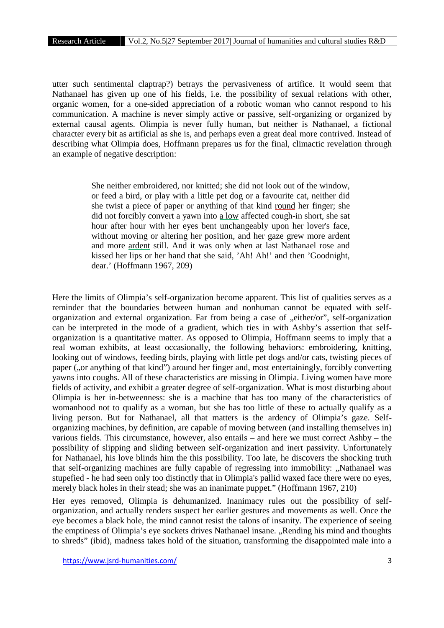utter such sentimental claptrap?) betrays the pervasiveness of artifice. It would seem that Nathanael has given up one of his fields, i.e. the possibility of sexual relations with other, organic women, for a one-sided appreciation of a robotic woman who cannot respond to his communication. A machine is never simply active or passive, self-organizing or organized by external causal agents. Olimpia is never fully human, but neither is Nathanael, a fictional character every bit as artificial as she is, and perhaps even a great deal more contrived. Instead of describing what Olimpia does, Hoffmann prepares us for the final, climactic revelation through an example of negative description:

> She neither embroidered, nor knitted; she did not look out of the window, or feed a bird, or play with a little pet dog or a favourite cat, neither did she twist a piece of paper or anything of that kind round her finger; she did not forcibly convert a yawn into a low affected cough-in short, she sat hour after hour with her eyes bent unchangeably upon her lover's face, without moving or altering her position, and her gaze grew more ardent and more ardent still. And it was only when at last Nathanael rose and kissed her lips or her hand that she said, 'Ah! Ah!' and then 'Goodnight, dear.' (Hoffmann 1967, 209)

Here the limits of Olimpia's self-organization become apparent. This list of qualities serves as a reminder that the boundaries between human and nonhuman cannot be equated with self organization and external organization. Far from being a case of "either/or", self-organization can be interpreted in the mode of a gradient, which ties in with Ashby's assertion that self organization is a quantitative matter. As opposed to Olimpia, Hoffmann seems to imply that a real woman exhibits, at least occasionally, the following behaviors: embroidering, knitting, looking out of windows, feeding birds, playing with little pet dogs and/or cats, twisting pieces of paper ("or anything of that kind") around her finger and, most entertainingly, forcibly converting yawns into coughs. All of these characteristics are missing in Olimpia. Living women have more fields of activity, and exhibit a greater degree of self-organization. What is most disturbing about Olimpia is her in-betweenness: she is a machine that has too many of the characteristics of womanhood not to qualify as a woman, but she has too little of these to actually qualify as a living person. But for Nathanael, all that matters is the ardency of Olimpia's gaze. Self organizing machines, by definition, are capable of moving between (and installing themselves in) various fields. This circumstance, however, also entails – and here we must correct Ashby – the possibility of slipping and sliding between self-organization and inert passivity. Unfortunately for Nathanael, his love blinds him the this possibility. Too late, he discovers the shocking truth that self-organizing machines are fully capable of regressing into immobility: "Nathanael was stupefied - he had seen only too distinctly that in Olimpia's pallid waxed face there were no eyes, merely black holes in their stead; she was an inanimate puppet." (Hoffmann 1967, 210)

Her eyes removed, Olimpia is dehumanized. Inanimacy rules out the possibility of self organization, and actually renders suspect her earlier gestures and movements as well. Once the eye becomes a black hole, the mind cannot resist the talons of insanity. The experience of seeing the emptiness of Olimpia's eye sockets drives Nathanael insane. "Rending his mind and thoughts to shreds" (ibid), madness takes hold of the situation, transforming the disappointed male into a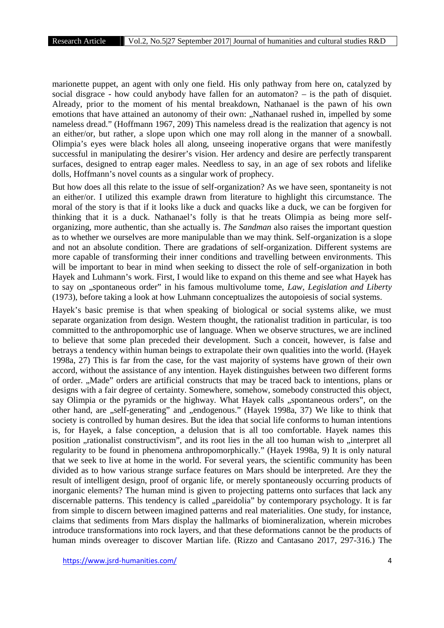marionette puppet, an agent with only one field. His only pathway from here on, catalyzed by social disgrace - how could anybody have fallen for an automaton? – is the path of disquiet. Already, prior to the moment of his mental breakdown, Nathanael is the pawn of his own emotions that have attained an autonomy of their own: "Nathanael rushed in, impelled by some nameless dread." (Hoffmann 1967, 209) This nameless dread is the realization that agency is not an either/or, but rather, a slope upon which one may roll along in the manner of a snowball. Olimpia's eyes were black holes all along, unseeing inoperative organs that were manifestly successful in manipulating the desirer's vision. Her ardency and desire are perfectly transparent surfaces, designed to entrap eager males. Needless to say, in an age of sex robots and lifelike dolls, Hoffmann's novel counts as a singular work of prophecy.

But how does all this relate to the issue of self-organization? As we have seen, spontaneity is not an either/or. I utilized this example drawn from literature to highlight this circumstance. The moral of the story is that if it looks like a duck and quacks like a duck, we can be forgiven for thinking that it is a duck. Nathanael's folly is that he treats Olimpia as being more self organizing, more authentic, than she actually is. *The Sandman* also raises the important question as to whether we ourselves are more manipulable than we may think. Self-organization is a slope and not an absolute condition. There are gradations of self-organization. Different systems are more capable of transforming their inner conditions and travelling between environments. This will be important to bear in mind when seeking to dissect the role of self-organization in both Hayek and Luhmann's work. First, I would like to expand on this theme and see what Hayek has to say on "spontaneous order" in his famous multivolume tome, *Law, Legislation and Liberty* (1973), before taking a look at how Luhmann conceptualizes the autopoiesis of social systems.

Hayek's basic premise is that when speaking of biological or social systems alike, we must separate organization from design. Western thought, the rationalist tradition in particular, is too committed to the anthropomorphic use of language. When we observe structures, we are inclined to believe that some plan preceded their development. Such a conceit, however, is false and betrays a tendency within human beings to extrapolate their own qualities into the world. (Hayek 1998a, 27) This is far from the case, for the vast majority of systems have grown of their own accord, without the assistance of any intention. Hayek distinguishes between two different forms of order. "Made" orders are artificial constructs that may be traced back to intentions, plans or designs with a fair degree of certainty. Somewhere, somehow, somebody constructed this object, say Olimpia or the pyramids or the highway. What Hayek calls "spontaneous orders", on the other hand, are "self-generating" and "endogenous." (Hayek 1998a, 37) We like to think that society is controlled by human desires. But the idea that social life conforms to human intentions is, for Hayek, a false conception, a delusion that is all too comfortable. Hayek names this position , rationalist constructivism", and its root lies in the all too human wish to , interpret all regularity to be found in phenomena anthropomorphically." (Hayek 1998a, 9) It is only natural that we seek to live at home in the world. For several years, the scientific community has been divided as to how various strange surface features on Mars should be interpreted. Are they the result of intelligent design, proof of organic life, or merely spontaneously occurring products of inorganic elements? The human mind is given to projecting patterns onto surfaces that lack any discernable patterns. This tendency is called "pareidolia" by contemporary psychology. It is far from simple to discern between imagined patterns and real materialities. One study, for instance, claims that sediments from Mars display the hallmarks of biomineralization, wherein microbes introduce transformations into rock layers, and that these deformations cannot be the products of human minds overeager to discover Martian life. (Rizzo and Cantasano 2017, 297-316.) The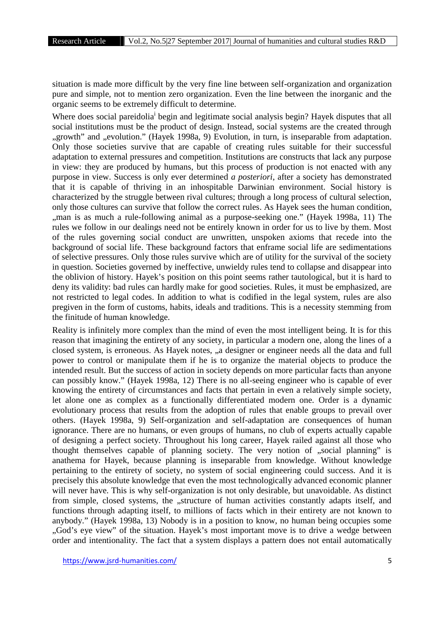situation is made more difficult by the very fine line between self-organization and organization pure and simple, not to mention zero organization. Even the line between the inorganic and the organic seems to be extremely difficult to determine.

Where does social pareidolia<sup>i</sup> begin and legitimate social analysis begin? Hayek disputes that all social institutions must be the product of design. Instead, social systems are the created through "growth" and "evolution." (Hayek 1998a, 9) Evolution, in turn, is inseparable from adaptation. Only those societies survive that are capable of creating rules suitable for their successful adaptation to external pressures and competition. Institutions are constructs that lack any purpose in view: they are produced by humans, but this process of production is not enacted with any purpose in view. Success is only ever determined *a posteriori*, after a society has demonstrated that it is capable of thriving in an inhospitable Darwinian environment. Social history is characterized by the struggle between rival cultures; through a long process of cultural selection, only those cultures can survive that follow the correct rules. As Hayek sees the human condition, ,,man is as much a rule-following animal as a purpose-seeking one." (Hayek 1998a, 11) The rules we follow in our dealings need not be entirely known in order for us to live by them. Most of the rules governing social conduct are unwritten, unspoken axioms that recede into the background of social life. These background factors that enframe social life are sedimentations of selective pressures. Only those rules survive which are of utility for the survival of the society in question. Societies governed by ineffective, unwieldy rules tend to collapse and disappear into the oblivion of history. Hayek's position on this point seems rather tautological, but it is hard to deny its validity: bad rules can hardly make for good societies. Rules, it must be emphasized, are not restricted to legal codes. In addition to what is codified in the legal system, rules are also pregiven in the form of customs, habits, ideals and traditions. This is a necessity stemming from the finitude of human knowledge.

Reality is infinitely more complex than the mind of even the most intelligent being. It is for this reason that imagining the entirety of any society, in particular a modern one, along the lines of a closed system, is erroneous. As Hayek notes, "a designer or engineer needs all the data and full power to control or manipulate them if he is to organize the material objects to produce the intended result. But the success of action in society depends on more particular facts than anyone can possibly know." (Hayek 1998a, 12) There is no all-seeing engineer who is capable of ever knowing the entirety of circumstances and facts that pertain in even a relatively simple society, let alone one as complex as a functionally differentiated modern one. Order is a dynamic evolutionary process that results from the adoption of rules that enable groups to prevail over others. (Hayek 1998a, 9) Self-organization and self-adaptation are consequences of human ignorance. There are no humans, or even groups of humans, no club of experts actually capable of designing a perfect society. Throughout his long career, Hayek railed against all those who thought themselves capable of planning society. The very notion of "social planning" is anathema for Hayek, because planning is inseparable from knowledge. Without knowledge pertaining to the entirety of society, no system of social engineering could success. And it is precisely this absolute knowledge that even the most technologically advanced economic planner will never have. This is why self-organization is not only desirable, but unavoidable. As distinct from simple, closed systems, the "structure of human activities constantly adapts itself, and functions through adapting itself, to millions of facts which in their entirety are not known to anybody." (Hayek 1998a, 13) Nobody is in a position to know, no human being occupies some "God's eye view" of the situation. Hayek's most important move is to drive a wedge between order and intentionality. The fact that a system displays a pattern does not entail automatically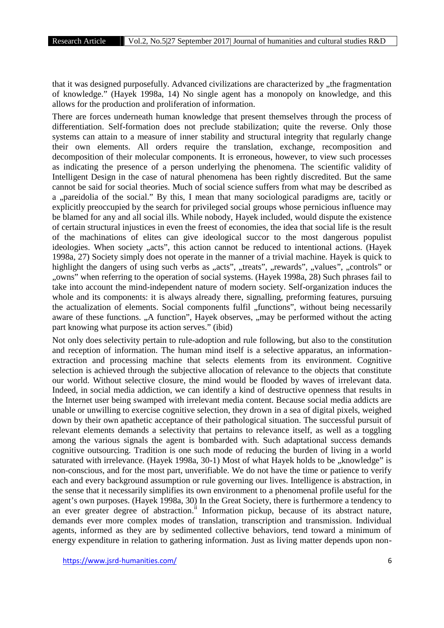that it was designed purposefully. Advanced civilizations are characterized by "the fragmentation of knowledge." (Hayek 1998a, 14) No single agent has a monopoly on knowledge, and this allows for the production and proliferation of information.

There are forces underneath human knowledge that present themselves through the process of differentiation. Self-formation does not preclude stabilization; quite the reverse. Only those systems can attain to a measure of inner stability and structural integrity that regularly change their own elements. All orders require the translation, exchange, recomposition and decomposition of their molecular components. It is erroneous, however, to view such processes as indicating the presence of a person underlying the phenomena. The scientific validity of Intelligent Design in the case of natural phenomena has been rightly discredited. But the same cannot be said for social theories. Much of social science suffers from what may be described as a "pareidolia of the social." By this, I mean that many sociological paradigms are, tacitly or explicitly preoccupied by the search for privileged social groups whose pernicious influence may be blamed for any and all social ills. While nobody, Hayek included, would dispute the existence of certain structural injustices in even the freest of economies, the idea that social life is the result of the machinations of elites can give ideological succor to the most dangerous populist ideologies. When society ,,acts", this action cannot be reduced to intentional actions. (Hayek 1998a, 27) Society simply does not operate in the manner of a trivial machine. Hayek is quick to highlight the dangers of using such verbs as "acts", "treats", "rewards", "values", "controls" or "owns" when referring to the operation of social systems. (Hayek 1998a, 28) Such phrases fail to take into account the mind-independent nature of modern society. Self-organization induces the whole and its components: it is always already there, signalling, preforming features, pursuing the actualization of elements. Social components fulfil "functions", without being necessarily aware of these functions. "A function", Hayek observes, "may be performed without the acting part knowing what purpose its action serves." (ibid)

Not only does selectivity pertain to rule-adoption and rule following, but also to the constitution and reception of information. The human mind itself is a selective apparatus, an information extraction and processing machine that selects elements from its environment. Cognitive selection is achieved through the subjective allocation of relevance to the objects that constitute our world. Without selective closure, the mind would be flooded by waves of irrelevant data. Indeed, in social media addiction, we can identify a kind of destructive openness that results in the Internet user being swamped with irrelevant media content. Because social media addicts are unable or unwilling to exercise cognitive selection, they drown in a sea of digital pixels, weighed down by their own apathetic acceptance of their pathological situation. The successful pursuit of relevant elements demands a selectivity that pertains to relevance itself, as well as a toggling among the various signals the agent is bombarded with. Such adaptational success demands cognitive outsourcing. Tradition is one such mode of reducing the burden of living in a world saturated with irrelevance. (Hayek 1998a, 30-1) Most of what Hayek holds to be "knowledge" is non-conscious, and for the most part, unverifiable. We do not have the time or patience to verify each and every background assumption or rule governing our lives. Intelligence is abstraction, in the sense that it necessarily simplifies its own environment to a phenomenal profile useful for the agent's own purposes. (Hayek 1998a, 30) In the Great Society, there is furthermore a tendency to an ever greater degree of abstraction.<sup>ii</sup> Information pickup, because of its abstract nature, demands ever more complex modes of translation, transcription and transmission. Individual agents, informed as they are by sedimented collective behaviors, tend toward a minimum of energy expenditure in relation to gathering information. Just as living matter depends upon non-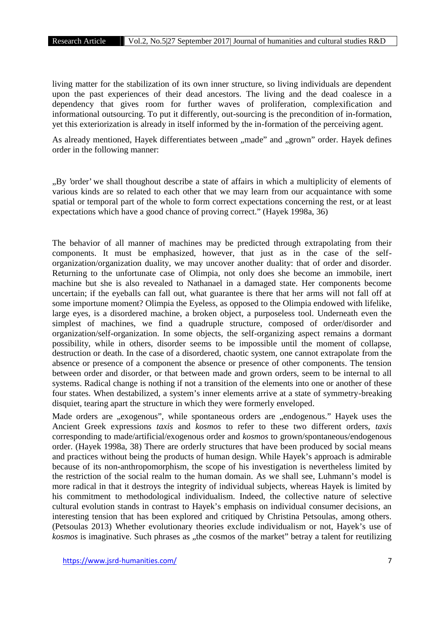living matter for the stabilization of its own inner structure, so living individuals are dependent upon the past experiences of their dead ancestors. The living and the dead coalesce in a dependency that gives room for further waves of proliferation, complexification and informational outsourcing. To put it differently, out-sourcing is the precondition of in-formation, yet this exteriorization is already in itself informed by the in-formation of the perceiving agent.

As already mentioned, Hayek differentiates between "made" and "grown" order. Hayek defines order in the following manner:

"By 'order' we shall thoughout describe a state of affairs in which a multiplicity of elements of various kinds are so related to each other that we may learn from our acquaintance with some spatial or temporal part of the whole to form correct expectations concerning the rest, or at least expectations which have a good chance of proving correct." (Hayek 1998a, 36)

The behavior of all manner of machines may be predicted through extrapolating from their components. It must be emphasized, however, that just as in the case of the self organization/organization duality, we may uncover another duality: that of order and disorder. Returning to the unfortunate case of Olimpia, not only does she become an immobile, inert machine but she is also revealed to Nathanael in a damaged state. Her components become uncertain; if the eyeballs can fall out, what guarantee is there that her arms will not fall off at some importune moment? Olimpia the Eyeless, as opposed to the Olimpia endowed with lifelike, large eyes, is a disordered machine, a broken object, a purposeless tool. Underneath even the simplest of machines, we find a quadruple structure, composed of order/disorder and organization/self-organization. In some objects, the self-organizing aspect remains a dormant possibility, while in others, disorder seems to be impossible until the moment of collapse, destruction or death. In the case of a disordered, chaotic system, one cannot extrapolate from the absence or presence of a component the absence or presence of other components. The tension between order and disorder, or that between made and grown orders, seem to be internal to all systems. Radical change is nothing if not a transition of the elements into one or another of these four states. When destabilized, a system's inner elements arrive at a state of symmetry-breaking disquiet, tearing apart the structure in which they were formerly enveloped.

Made orders are "exogenous", while spontaneous orders are "endogenous." Hayek uses the Ancient Greek expressions *taxis* and *kosmos* to refer to these two different orders, *taxis* corresponding to made/artificial/exogenous order and *kosmos* to grown/spontaneous/endogenous order. (Hayek 1998a, 38) There are orderly structures that have been produced by social means and practices without being the products of human design. While Hayek's approach is admirable because of its non-anthropomorphism, the scope of his investigation is nevertheless limited by the restriction of the social realm to the human domain. As we shall see, Luhmann's model is more radical in that it destroys the integrity of individual subjects, whereas Hayek is limited by his commitment to methodological individualism. Indeed, the collective nature of selective cultural evolution stands in contrast to Hayek's emphasis on individual consumer decisions, an interesting tension that has been explored and critiqued by Christina Petsoulas, among others. (Petsoulas 2013) Whether evolutionary theories exclude individualism or not, Hayek's use of *kosmos* is imaginative. Such phrases as "the cosmos of the market" betray a talent for reutilizing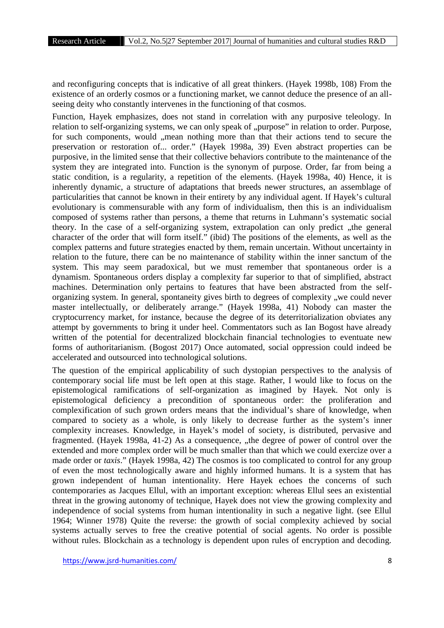and reconfiguring concepts that is indicative of all great thinkers. (Hayek 1998b, 108) From the existence of an orderly cosmos or a functioning market, we cannot deduce the presence of an all seeing deity who constantly intervenes in the functioning of that cosmos.

Function, Hayek emphasizes, does not stand in correlation with any purposive teleology. In relation to self-organizing systems, we can only speak of "purpose" in relation to order. Purpose, for such components, would , mean nothing more than that their actions tend to secure the preservation or restoration of... order." (Hayek 1998a, 39) Even abstract properties can be purposive, in the limited sense that their collective behaviors contribute to the maintenance of the system they are integrated into. Function is the synonym of purpose. Order, far from being a static condition, is a regularity, a repetition of the elements. (Hayek 1998a, 40) Hence, it is inherently dynamic, a structure of adaptations that breeds newer structures, an assemblage of particularities that cannot be known in their entirety by any individual agent. If Hayek's cultural evolutionary is commensurable with any form of individualism, then this is an individualism composed of systems rather than persons, a theme that returns in Luhmann's systematic social theory. In the case of a self-organizing system, extrapolation can only predict, the general character of the order that will form itself." (ibid) The positions of the elements, as well as the complex patterns and future strategies enacted by them, remain uncertain. Without uncertainty in relation to the future, there can be no maintenance of stability within the inner sanctum of the system. This may seem paradoxical, but we must remember that spontaneous order is a dynamism. Spontaneous orders display a complexity far superior to that of simplified, abstract machines. Determination only pertains to features that have been abstracted from the self organizing system. In general, spontaneity gives birth to degrees of complexity , we could never master intellectually, or deliberately arrange." (Hayek 1998a, 41) Nobody can master the cryptocurrency market, for instance, because the degree of its deterritorialization obviates any attempt by governments to bring it under heel. Commentators such as Ian Bogost have already written of the potential for decentralized blockchain financial technologies to eventuate new forms of authoritarianism. (Bogost 2017) Once automated, social oppression could indeed be accelerated and outsourced into technological solutions.

The question of the empirical applicability of such dystopian perspectives to the analysis of contemporary social life must be left open at this stage. Rather, I would like to focus on the epistemological ramifications of self-organization as imagined by Hayek. Not only is epistemological deficiency a precondition of spontaneous order: the proliferation and complexification of such grown orders means that the individual's share of knowledge, when compared to society as a whole, is only likely to decrease further as the system's inner complexity increases. Knowledge, in Hayek's model of society, is distributed, pervasive and fragmented. (Hayek 1998a, 41-2) As a consequence, "the degree of power of control over the extended and more complex order will be much smaller than that which we could exercize over a made order or *taxis*." (Hayek 1998a, 42) The cosmos is too complicated to control for any group of even the most technologically aware and highly informed humans. It is a system that has grown independent of human intentionality. Here Hayek echoes the concerns of such contemporaries as Jacques Ellul, with an important exception: whereas Ellul sees an existential threat in the growing autonomy of technique, Hayek does not view the growing complexity and independence of social systems from human intentionality in such a negative light. (see Ellul 1964; Winner 1978) Quite the reverse: the growth of social complexity achieved by social systems actually serves to free the creative potential of social agents. No order is possible without rules. Blockchain as a technology is dependent upon rules of encryption and decoding.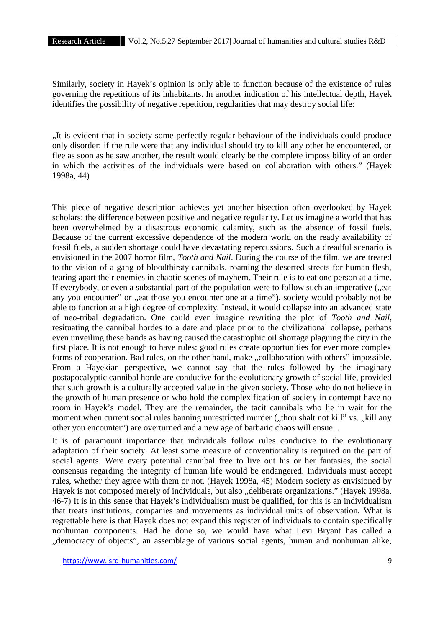Similarly, society in Hayek's opinion is only able to function because of the existence of rules governing the repetitions of its inhabitants. In another indication of his intellectual depth, Hayek identifies the possibility of negative repetition, regularities that may destroy social life:

"It is evident that in society some perfectly regular behaviour of the individuals could produce only disorder: if the rule were that any individual should try to kill any other he encountered, or flee as soon as he saw another, the result would clearly be the complete impossibility of an order in which the activities of the individuals were based on collaboration with others." (Hayek 1998a, 44)

This piece of negative description achieves yet another bisection often overlooked by Hayek scholars: the difference between positive and negative regularity. Let us imagine a world that has been overwhelmed by a disastrous economic calamity, such as the absence of fossil fuels. Because of the current excessive dependence of the modern world on the ready availability of fossil fuels, a sudden shortage could have devastating repercussions. Such a dreadful scenario is envisioned in the 2007 horror film, *Tooth and Nail*. During the course of the film, we are treated to the vision of a gang of bloodthirsty cannibals, roaming the deserted streets for human flesh, tearing apart their enemies in chaotic scenes of mayhem. Their rule is to eat one person at a time. If everybody, or even a substantial part of the population were to follow such an imperative ( $\alpha$ eat any you encounter" or "eat those you encounter one at a time"), society would probably not be able to function at a high degree of complexity. Instead, it would collapse into an advanced state of neo-tribal degradation. One could even imagine rewriting the plot of *Tooth and Nail*, resituating the cannibal hordes to a date and place prior to the civilizational collapse, perhaps even unveiling these bands as having caused the catastrophic oil shortage plaguing the city in the first place. It is not enough to have rules: good rules create opportunities for ever more complex forms of cooperation. Bad rules, on the other hand, make "collaboration with others" impossible. From a Hayekian perspective, we cannot say that the rules followed by the imaginary postapocalyptic cannibal horde are conducive for the evolutionary growth of social life, provided that such growth is a culturally accepted value in the given society. Those who do not believe in the growth of human presence or who hold the complexification of society in contempt have no room in Hayek's model. They are the remainder, the tacit cannibals who lie in wait for the moment when current social rules banning unrestricted murder ("thou shalt not kill" vs. "kill any other you encounter") are overturned and a new age of barbaric chaos will ensue...

It is of paramount importance that individuals follow rules conducive to the evolutionary adaptation of their society. At least some measure of conventionality is required on the part of social agents. Were every potential cannibal free to live out his or her fantasies, the social consensus regarding the integrity of human life would be endangered. Individuals must accept rules, whether they agree with them or not. (Hayek 1998a, 45) Modern society as envisioned by Hayek is not composed merely of individuals, but also "deliberate organizations." (Hayek 1998a, 46-7) It is in this sense that Hayek's individualism must be qualified, for this is an individualism that treats institutions, companies and movements as individual units of observation. What is regrettable here is that Hayek does not expand this register of individuals to contain specifically nonhuman components. Had he done so, we would have what Levi Bryant has called a "democracy of objects", an assemblage of various social agents, human and nonhuman alike,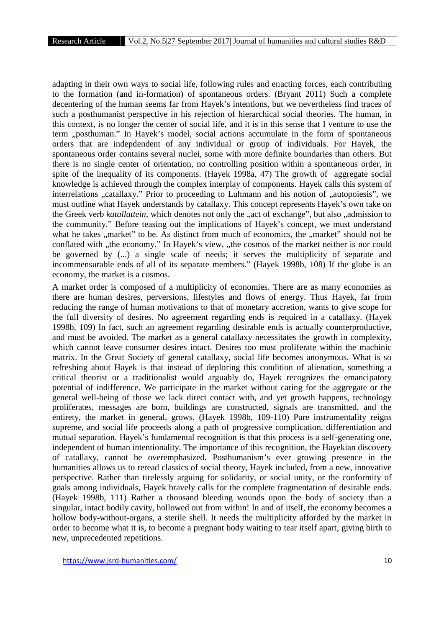adapting in their own ways to social life, following rules and enacting forces, each contributing to the formation (and in-formation) of spontaneous orders. (Bryant 2011) Such a complete decentering of the human seems far from Hayek's intentions, but we nevertheless find traces of such a posthumanist perspective in his rejection of hierarchical social theories. The human, in this context, is no longer the center of social life, and it is in this sense that I venture to use the term "posthuman." In Hayek's model, social actions accumulate in the form of spontaneous orders that are indepdendent of any individual or group of individuals. For Hayek, the spontaneous order contains several nuclei, some with more definite boundaries than others. But there is no single center of orientation, no controlling position within a spontaneous order, in spite of the inequality of its components. (Hayek 1998a, 47) The growth of aggregate social knowledge is achieved through the complex interplay of components. Hayek calls this system of interrelations "catallaxy." Prior to proceeding to Luhmann and his notion of "autopoiesis", we must outline what Hayek understands by catallaxy. This concept represents Hayek's own take on the Greek verb *katallattein*, which denotes not only the "act of exchange", but also "admission to the community." Before teasing out the implications of Hayek's concept, we must understand what he takes , market" to be. As distinct from much of economics, the , market" should not be conflated with "the economy." In Hayek's view, "the cosmos of the market neither is nor could be governed by (...) a single scale of needs; it serves the multiplicity of separate and incommensurable ends of all of its separate members." (Hayek 1998b, 108) If the globe is an economy, the market is a cosmos.

A market order is composed of a multiplicity of economies. There are as many economies as there are human desires, perversions, lifestyles and flows of energy. Thus Hayek, far from reducing the range of human motivations to that of monetary accretion, wants to give scope for the full diversity of desires. No agreement regarding ends is required in a catallaxy. (Hayek 1998b, 109) In fact, such an agreement regarding desirable ends is actually counterproductive, and must be avoided. The market as a general catallaxy necessitates the growth in complexity, which cannot leave consumer desires intact. Desires too must proliferate within the machinic matrix. In the Great Society of general catallaxy, social life becomes anonymous. What is so refreshing about Hayek is that instead of deploring this condition of alienation, something a critical theorist or a traditionalist would arguably do, Hayek recognizes the emancipatory potential of indifference. We participate in the market without caring for the aggregate or the general well-being of those we lack direct contact with, and yet growth happens, technology proliferates, messages are born, buildings are constructed, signals are transmitted, and the entirety, the market in general, grows. (Hayek 1998b, 109-110) Pure instrumentality reigns supreme, and social life proceeds along a path of progressive complication, differentiation and mutual separation. Hayek's fundamental recognition is that this process is a self-generating one, independent of human intentionality. The importance of this recognition, the Hayekian discovery of catallaxy, cannot be overemphasized. Posthumanism's ever growing presence in the humanities allows us to reread classics of social theory, Hayek included, from a new, innovative perspective. Rather than tirelessly arguing for solidarity, or social unity, or the conformity of goals among individuals, Hayek bravely calls for the complete fragmentation of desirable ends. (Hayek 1998b, 111) Rather a thousand bleeding wounds upon the body of society than a singular, intact bodily cavity, hollowed out from within! In and of itself, the economy becomes a hollow body-without-organs, a sterile shell. It needs the multiplicity afforded by the market in order to become what it is, to become a pregnant body waiting to tear itself apart, giving birth to new, unprecedented repetitions.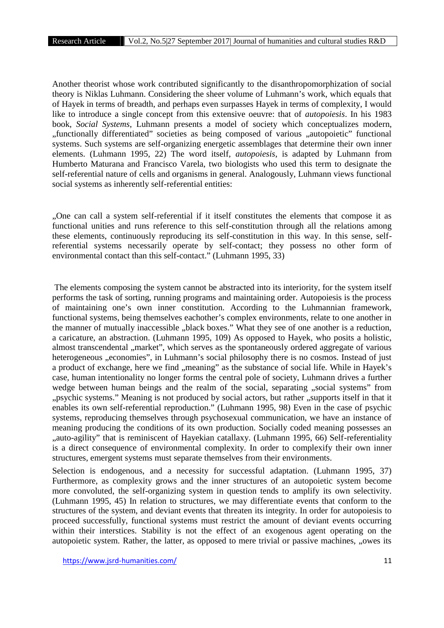Another theorist whose work contributed significantly to the disanthropomorphization of social theory is Niklas Luhmann. Considering the sheer volume of Luhmann's work, which equals that of Hayek in terms of breadth, and perhaps even surpasses Hayek in terms of complexity, I would like to introduce a single concept from this extensive oeuvre: that of *autopoiesis*. In his 1983 book, *Social Systems*, Luhmann presents a model of society which conceptualizes modern, "functionally differentiated" societies as being composed of various "autopoietic" functional systems. Such systems are self-organizing energetic assemblages that determine their own inner elements. (Luhmann 1995, 22) The word itself, *autopoiesis*, is adapted by Luhmann from Humberto Maturana and Francisco Varela, two biologists who used this term to designate the self-referential nature of cells and organisms in general. Analogously, Luhmann views functional social systems as inherently self-referential entities:

"One can call a system self-referential if it itself constitutes the elements that compose it as functional unities and runs reference to this self-constitution through all the relations among these elements, continuously reproducing its self-constitution in this way. In this sense, selfreferential systems necessarily operate by self-contact; they possess no other form of environmental contact than this self-contact." (Luhmann 1995, 33)

The elements composing the system cannot be abstracted into its interiority, for the system itself performs the task of sorting, running programs and maintaining order. Autopoiesis is the process of maintaining one's own inner constitution. According to the Luhmannian framework, functional systems, being themselves eachother's complex environments, relate to one another in the manner of mutually inaccessible "black boxes." What they see of one another is a reduction, a caricature, an abstraction. (Luhmann 1995, 109) As opposed to Hayek, who posits a holistic, almost transcendental "market", which serves as the spontaneously ordered aggregate of various heterogeneous "economies", in Luhmann's social philosophy there is no cosmos. Instead of just a product of exchange, here we find "meaning" as the substance of social life. While in Hayek's case, human intentionality no longer forms the central pole of society, Luhmann drives a further wedge between human beings and the realm of the social, separating "social systems" from "psychic systems." Meaning is not produced by social actors, but rather "supports itself in that it enables its own self-referential reproduction." (Luhmann 1995, 98) Even in the case of psychic systems, reproducing themselves through psychosexual communication, we have an instance of meaning producing the conditions of its own production. Socially coded meaning possesses an "auto-agility" that is reminiscent of Hayekian catallaxy. (Luhmann 1995, 66) Self-referentiality is a direct consequence of environmental complexity. In order to complexify their own inner structures, emergent systems must separate themselves from their environments.

Selection is endogenous, and a necessity for successful adaptation. (Luhmann 1995, 37) Furthermore, as complexity grows and the inner structures of an autopoietic system become more convoluted, the self-organizing system in question tends to amplify its own selectivity. (Luhmann 1995, 45) In relation to structures, we may differentiate events that conform to the structures of the system, and deviant events that threaten its integrity. In order for autopoiesis to proceed successfully, functional systems must restrict the amount of deviant events occurring within their interstices. Stability is not the effect of an exogenous agent operating on the autopoietic system. Rather, the latter, as opposed to mere trivial or passive machines, "owes its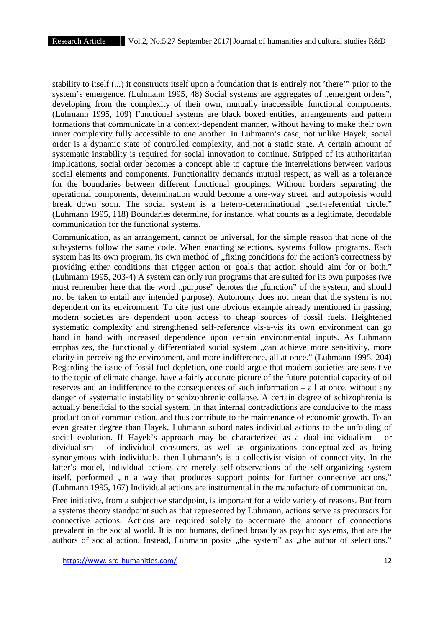stability to itself (...) it constructs itself upon a foundation that is entirely not 'there'" prior to the system's emergence. (Luhmann 1995, 48) Social systems are aggregates of "emergent orders", developing from the complexity of their own, mutually inaccessible functional components. (Luhmann 1995, 109) Functional systems are black boxed entities, arrangements and pattern formations that communicate in a context-dependent manner, without having to make their own inner complexity fully accessible to one another. In Luhmann's case, not unlike Hayek, social order is a dynamic state of controlled complexity, and not a static state. A certain amount of systematic instability is required for social innovation to continue. Stripped of its authoritarian implications, social order becomes a concept able to capture the interrelations between various social elements and components. Functionality demands mutual respect, as well as a tolerance for the boundaries between different functional groupings. Without borders separating the operational components, determination would become a one-way street, and autopoiesis would break down soon. The social system is a hetero-determinational "self-referential circle." (Luhmann 1995, 118) Boundaries determine, for instance, what counts as a legitimate, decodable communication for the functional systems.

Communication, as an arrangement, cannot be universal, for the simple reason that none of the subsystems follow the same code. When enacting selections, systems follow programs. Each system has its own program, its own method of "fixing conditions for the action's correctness by providing either conditions that trigger action or goals that action should aim for or both." (Luhmann 1995, 203-4) A system can only run programs that are suited for its own purposes (we must remember here that the word "purpose" denotes the "function" of the system, and should not be taken to entail any intended purpose). Autonomy does not mean that the system is not dependent on its environment. To cite just one obvious example already mentioned in passing, modern societies are dependent upon access to cheap sources of fossil fuels. Heightened systematic complexity and strengthened self-reference vis-a-vis its own environment can go hand in hand with increased dependence upon certain environmental inputs. As Luhmann emphasizes, the functionally differentiated social system ...can achieve more sensitivity, more clarity in perceiving the environment, and more indifference, all at once." (Luhmann 1995, 204) Regarding the issue of fossil fuel depletion, one could argue that modern societies are sensitive to the topic of climate change, have a fairly accurate picture of the future potential capacity of oil reserves and an indifference to the consequences of such information – all at once, without any danger of systematic instability or schizophrenic collapse. A certain degree of schizophrenia is actually beneficial to the social system, in that internal contradictions are conducive to the mass production of communication, and thus contribute to the maintenance of economic growth. To an even greater degree than Hayek, Luhmann subordinates individual actions to the unfolding of social evolution. If Hayek's approach may be characterized as a dual individualism - or dividualism - of individual consumers, as well as organizations conceptualized as being synonymous with individuals, then Luhmann's is a collectivist vision of connectivity. In the latter's model, individual actions are merely self-observations of the self-organizing system itself, performed ,,in a way that produces support points for further connective actions." (Luhmann 1995, 167) Individual actions are instrumental in the manufacture of communication.

Free initiative, from a subjective standpoint, is important for a wide variety of reasons. But from a systems theory standpoint such as that represented by Luhmann, actions serve as precursors for connective actions. Actions are required solely to accentuate the amount of connections prevalent in the social world. It is not humans, defined broadly as psychic systems, that are the authors of social action. Instead, Luhmann posits "the system" as "the author of selections."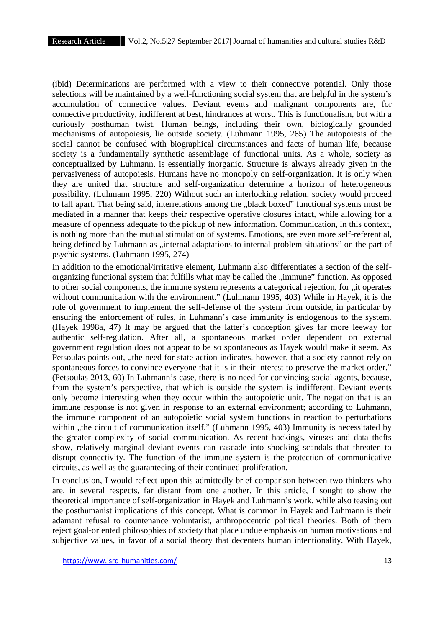(ibid) Determinations are performed with a view to their connective potential. Only those selections will be maintained by a well-functioning social system that are helpful in the system's accumulation of connective values. Deviant events and malignant components are, for connective productivity, indifferent at best, hindrances at worst. This is functionalism, but with a curiously posthuman twist. Human beings, including their own, biologically grounded mechanisms of autopoiesis, lie outside society. (Luhmann 1995, 265) The autopoiesis of the social cannot be confused with biographical circumstances and facts of human life, because society is a fundamentally synthetic assemblage of functional units. As a whole, society as conceptualized by Luhmann, is essentially inorganic. Structure is always already given in the pervasiveness of autopoiesis. Humans have no monopoly on self-organization. It is only when they are united that structure and self-organization determine a horizon of heterogeneous possibility. (Luhmann 1995, 220) Without such an interlocking relation, society would proceed to fall apart. That being said, interrelations among the "black boxed" functional systems must be mediated in a manner that keeps their respective operative closures intact, while allowing for a measure of openness adequate to the pickup of new information. Communication, in this context, is nothing more than the mutual stimulation of systems. Emotions, are even more self-referential, being defined by Luhmann as , internal adaptations to internal problem situations" on the part of psychic systems. (Luhmann 1995, 274)

In addition to the emotional/irritative element, Luhmann also differentiates a section of the self organizing functional system that fulfills what may be called the "immune" function. As opposed to other social components, the immune system represents a categorical rejection, for "it operates without communication with the environment." (Luhmann 1995, 403) While in Hayek, it is the role of government to implement the self-defense of the system from outside, in particular by ensuring the enforcement of rules, in Luhmann's case immunity is endogenous to the system. (Hayek 1998a, 47) It may be argued that the latter's conception gives far more leeway for authentic self-regulation. After all, a spontaneous market order dependent on external government regulation does not appear to be so spontaneous as Hayek would make it seem. As Petsoulas points out, "the need for state action indicates, however, that a society cannot rely on spontaneous forces to convince everyone that it is in their interest to preserve the market order." (Petsoulas 2013, 60) In Luhmann's case, there is no need for convincing social agents, because, from the system's perspective, that which is outside the system is indifferent. Deviant events only become interesting when they occur within the autopoietic unit. The negation that is an immune response is not given in response to an external environment; according to Luhmann, the immune component of an autopoietic social system functions in reaction to perturbations within , the circuit of communication itself." (Luhmann 1995, 403) Immunity is necessitated by the greater complexity of social communication. As recent hackings, viruses and data thefts show, relatively marginal deviant events can cascade into shocking scandals that threaten to disrupt connectivity. The function of the immune system is the protection of communicative circuits, as well as the guaranteeing of their continued proliferation.

In conclusion, I would reflect upon this admittedly brief comparison between two thinkers who are, in several respects, far distant from one another. In this article, I sought to show the theoretical importance of self-organization in Hayek and Luhmann's work, while also teasing out the posthumanist implications of this concept. What is common in Hayek and Luhmann is their adamant refusal to countenance voluntarist, anthropocentric political theories. Both of them reject goal-oriented philosophies of society that place undue emphasis on human motivations and subjective values, in favor of a social theory that decenters human intentionality. With Hayek,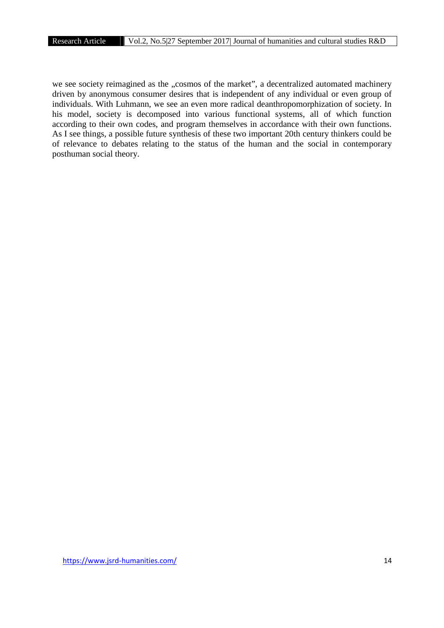we see society reimagined as the "cosmos of the market", a decentralized automated machinery driven by anonymous consumer desires that is independent of any individual or even group of individuals. With Luhmann, we see an even more radical deanthropomorphization of society. In his model, society is decomposed into various functional systems, all of which function according to their own codes, and program themselves in accordance with their own functions. As I see things, a possible future synthesis of these two important 20th century thinkers could be of relevance to debates relating to the status of the human and the social in contemporary posthuman social theory.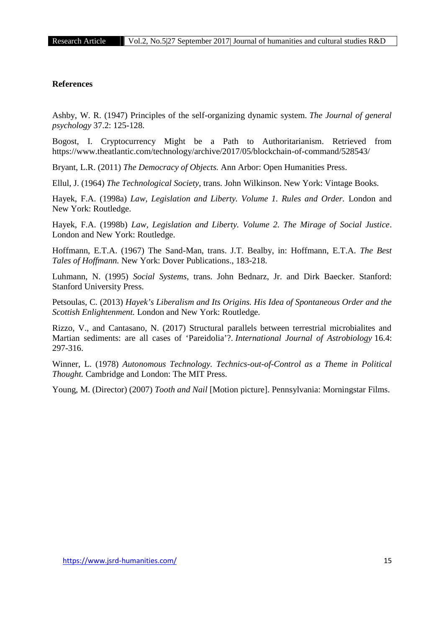## **References**

Ashby, W. R. (1947) Principles of the self-organizing dynamic system. *The Journal of general psychology* 37.2: 125-128.

Bogost, I. Cryptocurrency Might be a Path to Authoritarianism. Retrieved from https://www.theatlantic.com/technology/archive/2017/05/blockchain-of-command/528543/

Bryant, L.R. (2011) *The Democracy of Objects.* Ann Arbor: Open Humanities Press.

Ellul, J. (1964) *The Technological Society*, trans. John Wilkinson. New York: Vintage Books.

Hayek, F.A. (1998a) *Law, Legislation and Liberty. Volume 1. Rules and Order.* London and New York: Routledge.

Hayek, F.A. (1998b) *Law, Legislation and Liberty. Volume 2. The Mirage of Social Justice*. London and New York: Routledge.

Hoffmann, E.T.A. (1967) The Sand-Man, trans. J.T. Bealby, in: Hoffmann, E.T.A. *The Best Tales of Hoffmann.* New York: Dover Publications., 183-218.

Luhmann, N. (1995) *Social Systems*, trans. John Bednarz, Jr. and Dirk Baecker. Stanford: Stanford University Press.

Petsoulas, C. (2013) *Hayek's Liberalism and Its Origins. His Idea of Spontaneous Order and the Scottish Enlightenment.* London and New York: Routledge.

Rizzo, V., and Cantasano, N. (2017) Structural parallels between terrestrial microbialites and Martian sediments: are all cases of 'Pareidolia'?. *International Journal of Astrobiology* 16.4: 297-316.

Winner, L. (1978) *Autonomous Technology. Technics-out-of-Control as a Theme in Political Thought.* Cambridge and London: The MIT Press.

Young, M. (Director) (2007) *Tooth and Nail* [Motion picture]. Pennsylvania: Morningstar Films.